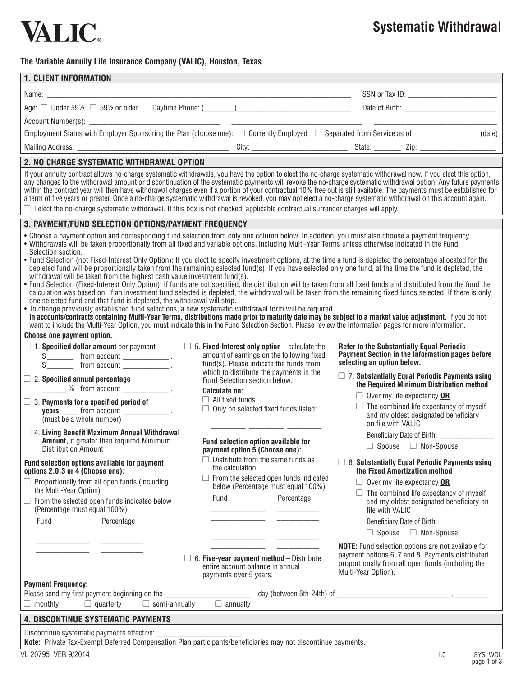

## **Systematic Withdrawal**

#### **The Variable Annuity Life Insurance Company (VALIC), Houston, Texas**

| <b>1. CLIENT INFORMATION</b>                                                                                                                                                                                                                                                                                                                                                                                                                                                                                                                                                                                                                                                                                                                                                                                                                                                                                                                                                                                                                                                                                                                                                                                                                                                                                                                                                                                                                                                                                                                                                     |                                                                                                                                                                                                                                                                                                                    |                                                                                                                                                                                                                                                                                                                                                                                                   |  |  |  |  |  |  |  |  |
|----------------------------------------------------------------------------------------------------------------------------------------------------------------------------------------------------------------------------------------------------------------------------------------------------------------------------------------------------------------------------------------------------------------------------------------------------------------------------------------------------------------------------------------------------------------------------------------------------------------------------------------------------------------------------------------------------------------------------------------------------------------------------------------------------------------------------------------------------------------------------------------------------------------------------------------------------------------------------------------------------------------------------------------------------------------------------------------------------------------------------------------------------------------------------------------------------------------------------------------------------------------------------------------------------------------------------------------------------------------------------------------------------------------------------------------------------------------------------------------------------------------------------------------------------------------------------------|--------------------------------------------------------------------------------------------------------------------------------------------------------------------------------------------------------------------------------------------------------------------------------------------------------------------|---------------------------------------------------------------------------------------------------------------------------------------------------------------------------------------------------------------------------------------------------------------------------------------------------------------------------------------------------------------------------------------------------|--|--|--|--|--|--|--|--|
|                                                                                                                                                                                                                                                                                                                                                                                                                                                                                                                                                                                                                                                                                                                                                                                                                                                                                                                                                                                                                                                                                                                                                                                                                                                                                                                                                                                                                                                                                                                                                                                  |                                                                                                                                                                                                                                                                                                                    |                                                                                                                                                                                                                                                                                                                                                                                                   |  |  |  |  |  |  |  |  |
|                                                                                                                                                                                                                                                                                                                                                                                                                                                                                                                                                                                                                                                                                                                                                                                                                                                                                                                                                                                                                                                                                                                                                                                                                                                                                                                                                                                                                                                                                                                                                                                  |                                                                                                                                                                                                                                                                                                                    |                                                                                                                                                                                                                                                                                                                                                                                                   |  |  |  |  |  |  |  |  |
|                                                                                                                                                                                                                                                                                                                                                                                                                                                                                                                                                                                                                                                                                                                                                                                                                                                                                                                                                                                                                                                                                                                                                                                                                                                                                                                                                                                                                                                                                                                                                                                  |                                                                                                                                                                                                                                                                                                                    |                                                                                                                                                                                                                                                                                                                                                                                                   |  |  |  |  |  |  |  |  |
| Employment Status with Employer Sponsoring the Plan (choose one): □ Currently Employed □ Separated from Service as of _______________(date)                                                                                                                                                                                                                                                                                                                                                                                                                                                                                                                                                                                                                                                                                                                                                                                                                                                                                                                                                                                                                                                                                                                                                                                                                                                                                                                                                                                                                                      |                                                                                                                                                                                                                                                                                                                    |                                                                                                                                                                                                                                                                                                                                                                                                   |  |  |  |  |  |  |  |  |
|                                                                                                                                                                                                                                                                                                                                                                                                                                                                                                                                                                                                                                                                                                                                                                                                                                                                                                                                                                                                                                                                                                                                                                                                                                                                                                                                                                                                                                                                                                                                                                                  |                                                                                                                                                                                                                                                                                                                    |                                                                                                                                                                                                                                                                                                                                                                                                   |  |  |  |  |  |  |  |  |
| 2. NO CHARGE SYSTEMATIC WITHDRAWAL OPTION                                                                                                                                                                                                                                                                                                                                                                                                                                                                                                                                                                                                                                                                                                                                                                                                                                                                                                                                                                                                                                                                                                                                                                                                                                                                                                                                                                                                                                                                                                                                        |                                                                                                                                                                                                                                                                                                                    |                                                                                                                                                                                                                                                                                                                                                                                                   |  |  |  |  |  |  |  |  |
| If your annuity contract allows no-charge systematic withdrawals, you have the option to elect the no-charge systematic withdrawal now. If you elect this option,<br>any changes to the withdrawal amount or discontinuation of the systematic payments will revoke the no-charge systematic withdrawal option. Any future payments<br>within the contract year will then have withdrawal charges even if a portion of your contractual 10% free out is still available. The payments must be established for<br>a term of five years or greater. Once a no-charge systematic withdrawal is revoked, you may not elect a no-charge systematic withdrawal on this account again.<br>$\Box$ I elect the no-charge systematic withdrawal. If this box is not checked, applicable contractual surrender charges will apply.                                                                                                                                                                                                                                                                                                                                                                                                                                                                                                                                                                                                                                                                                                                                                          |                                                                                                                                                                                                                                                                                                                    |                                                                                                                                                                                                                                                                                                                                                                                                   |  |  |  |  |  |  |  |  |
| 3. PAYMENT/FUND SELECTION OPTIONS/PAYMENT FREQUENCY                                                                                                                                                                                                                                                                                                                                                                                                                                                                                                                                                                                                                                                                                                                                                                                                                                                                                                                                                                                                                                                                                                                                                                                                                                                                                                                                                                                                                                                                                                                              |                                                                                                                                                                                                                                                                                                                    |                                                                                                                                                                                                                                                                                                                                                                                                   |  |  |  |  |  |  |  |  |
| • Choose a payment option and corresponding fund selection from only one column below. In addition, you must also choose a payment frequency.<br>. Withdrawals will be taken proportionally from all fixed and variable options, including Multi-Year Terms unless otherwise indicated in the Fund<br>Selection section.<br>• Fund Selection (not Fixed-Interest Only Option): If you elect to specify investment options, at the time a fund is depleted the percentage allocated for the<br>depleted fund will be proportionally taken from the remaining selected fund(s). If you have selected only one fund, at the time the fund is depleted, the<br>withdrawal will be taken from the highest cash value investment fund(s).<br>. Fund Selection (Fixed-Interest Only Option): If funds are not specified, the distribution will be taken from all fixed funds and distributed from the fund the<br>calculation was based on. If an investment fund selected is depleted, the withdrawal will be taken from the remaining fixed funds selected. If there is only<br>one selected fund and that fund is depleted, the withdrawal will stop.<br>. To change previously established fund selections, a new systematic withdrawal form will be required.<br>In accounts/contracts containing Multi-Year Terms, distributions made prior to maturity date may be subject to a market value adjustment. If you do not<br>want to include the Multi-Year Option, you must indicate this in the Fund Selection Section. Please review the Information pages for more information. |                                                                                                                                                                                                                                                                                                                    |                                                                                                                                                                                                                                                                                                                                                                                                   |  |  |  |  |  |  |  |  |
| Choose one payment option.                                                                                                                                                                                                                                                                                                                                                                                                                                                                                                                                                                                                                                                                                                                                                                                                                                                                                                                                                                                                                                                                                                                                                                                                                                                                                                                                                                                                                                                                                                                                                       |                                                                                                                                                                                                                                                                                                                    |                                                                                                                                                                                                                                                                                                                                                                                                   |  |  |  |  |  |  |  |  |
| $\Box$ 1. Specified dollar amount per payment<br>$\frac{1}{2}$ from account __________________.<br>$\Box$ 2. Specified annual percentage<br>$\frac{1}{2}$ % from account $\frac{1}{2}$ .<br>$\Box$ 3. Payments for a specified period of<br>$years \_\_$ from account $\_\_$ .<br>(must be a whole number)                                                                                                                                                                                                                                                                                                                                                                                                                                                                                                                                                                                                                                                                                                                                                                                                                                                                                                                                                                                                                                                                                                                                                                                                                                                                       | $\Box$ 5. Fixed-Interest only option – calculate the<br>amount of earnings on the following fixed<br>fund(s). Please indicate the funds from<br>which to distribute the payments in the<br>Fund Selection section below.<br>Calculate on:<br>$\Box$ All fixed funds<br>$\Box$ Only on selected fixed funds listed: | <b>Refer to the Substantially Equal Periodic</b><br>Payment Section in the Information pages before<br>selecting an option below.<br>$\Box$ 7. Substantially Equal Periodic Payments using<br>the Required Minimum Distribution method<br>$\Box$ Over my life expectancy <b>OR</b><br>$\Box$ The combined life expectancy of myself<br>and my oldest designated beneficiary<br>on file with VALIC |  |  |  |  |  |  |  |  |
| $\Box$ 4. Living Benefit Maximum Annual Withdrawal<br><b>Amount, if greater than required Minimum</b><br>Distribution Amount                                                                                                                                                                                                                                                                                                                                                                                                                                                                                                                                                                                                                                                                                                                                                                                                                                                                                                                                                                                                                                                                                                                                                                                                                                                                                                                                                                                                                                                     | Fund selection option available for<br>payment option 5 (Choose one):                                                                                                                                                                                                                                              | $\Box$ Spouse $\Box$ Non-Spouse                                                                                                                                                                                                                                                                                                                                                                   |  |  |  |  |  |  |  |  |
| Fund selection options available for payment<br>options 2.0,3 or 4 (Choose one):                                                                                                                                                                                                                                                                                                                                                                                                                                                                                                                                                                                                                                                                                                                                                                                                                                                                                                                                                                                                                                                                                                                                                                                                                                                                                                                                                                                                                                                                                                 | $\Box$ Distribute from the same funds as<br>the calculation                                                                                                                                                                                                                                                        | $\Box$ 8. Substantially Equal Periodic Payments using<br>the Fixed Amortization method                                                                                                                                                                                                                                                                                                            |  |  |  |  |  |  |  |  |
| $\Box$ Proportionally from all open funds (including                                                                                                                                                                                                                                                                                                                                                                                                                                                                                                                                                                                                                                                                                                                                                                                                                                                                                                                                                                                                                                                                                                                                                                                                                                                                                                                                                                                                                                                                                                                             | From the selected open funds indicated                                                                                                                                                                                                                                                                             | $\Box$ Over my life expectancy <b>OR</b>                                                                                                                                                                                                                                                                                                                                                          |  |  |  |  |  |  |  |  |
| the Multi-Year Option)<br>$\Box$ From the selected open funds indicated below<br>(Percentage must equal 100%)                                                                                                                                                                                                                                                                                                                                                                                                                                                                                                                                                                                                                                                                                                                                                                                                                                                                                                                                                                                                                                                                                                                                                                                                                                                                                                                                                                                                                                                                    | below (Percentage must equal 100%)<br>Fund<br>Percentage                                                                                                                                                                                                                                                           | $\Box$ The combined life expectancy of myself<br>and my oldest designated beneficiary on<br>file with VALIC                                                                                                                                                                                                                                                                                       |  |  |  |  |  |  |  |  |
| Fund<br>Percentage                                                                                                                                                                                                                                                                                                                                                                                                                                                                                                                                                                                                                                                                                                                                                                                                                                                                                                                                                                                                                                                                                                                                                                                                                                                                                                                                                                                                                                                                                                                                                               |                                                                                                                                                                                                                                                                                                                    |                                                                                                                                                                                                                                                                                                                                                                                                   |  |  |  |  |  |  |  |  |
|                                                                                                                                                                                                                                                                                                                                                                                                                                                                                                                                                                                                                                                                                                                                                                                                                                                                                                                                                                                                                                                                                                                                                                                                                                                                                                                                                                                                                                                                                                                                                                                  | <u> 2000 - Jan James James Jan James James Jan James James Jan James James Jan James James Jan Jan James James Ja</u>                                                                                                                                                                                              | $\Box$ Spouse $\Box$ Non-Spouse                                                                                                                                                                                                                                                                                                                                                                   |  |  |  |  |  |  |  |  |
| <u> 1989 - Johann Harry Harry Harry Harry Harry Harry Harry Harry Harry Harry Harry Harry Harry Harry Harry Harry</u><br><b>Payment Frequency:</b>                                                                                                                                                                                                                                                                                                                                                                                                                                                                                                                                                                                                                                                                                                                                                                                                                                                                                                                                                                                                                                                                                                                                                                                                                                                                                                                                                                                                                               | <u> 1980 - Johann Barbara, martxa al III-lea (h. 1974).</u><br>$\Box$ 6. Five-year payment method - Distribute<br>entire account balance in annual<br>payments over 5 years.                                                                                                                                       | <b>NOTE:</b> Fund selection options are not available for<br>payment options 6, 7 and 8. Payments distributed<br>proportionally from all open funds (including the<br>Multi-Year Option).                                                                                                                                                                                                         |  |  |  |  |  |  |  |  |
| Please send my first payment beginning on the __________________________________                                                                                                                                                                                                                                                                                                                                                                                                                                                                                                                                                                                                                                                                                                                                                                                                                                                                                                                                                                                                                                                                                                                                                                                                                                                                                                                                                                                                                                                                                                 |                                                                                                                                                                                                                                                                                                                    |                                                                                                                                                                                                                                                                                                                                                                                                   |  |  |  |  |  |  |  |  |
| $\Box$ quarterly $\Box$ semi-annually<br>$\Box$ monthly                                                                                                                                                                                                                                                                                                                                                                                                                                                                                                                                                                                                                                                                                                                                                                                                                                                                                                                                                                                                                                                                                                                                                                                                                                                                                                                                                                                                                                                                                                                          | $\Box$ annually                                                                                                                                                                                                                                                                                                    | <u> 1989 - Johann Barbara, martxa alemaniar amerikan basar da da a shekara 1980 - Andrea Santa Albania a shekara</u>                                                                                                                                                                                                                                                                              |  |  |  |  |  |  |  |  |
| <b>4. DISCONTINUE SYSTEMATIC PAYMENTS</b>                                                                                                                                                                                                                                                                                                                                                                                                                                                                                                                                                                                                                                                                                                                                                                                                                                                                                                                                                                                                                                                                                                                                                                                                                                                                                                                                                                                                                                                                                                                                        |                                                                                                                                                                                                                                                                                                                    | ,我们也不会有一个人的人,我们也不会有一个人的人,我们也不会有一个人的人。""我们,我们也不会有一个人的人,我们也不会有一个人的人。""我们,我们也不会有一个人                                                                                                                                                                                                                                                                                                                  |  |  |  |  |  |  |  |  |
| Discontinue systematic payments effective:<br>Note: Private Tax-Exempt Deferred Compensation Plan participants/beneficiaries may not discontinue payments.                                                                                                                                                                                                                                                                                                                                                                                                                                                                                                                                                                                                                                                                                                                                                                                                                                                                                                                                                                                                                                                                                                                                                                                                                                                                                                                                                                                                                       |                                                                                                                                                                                                                                                                                                                    |                                                                                                                                                                                                                                                                                                                                                                                                   |  |  |  |  |  |  |  |  |

VL 20795 VER 9/2014 1.0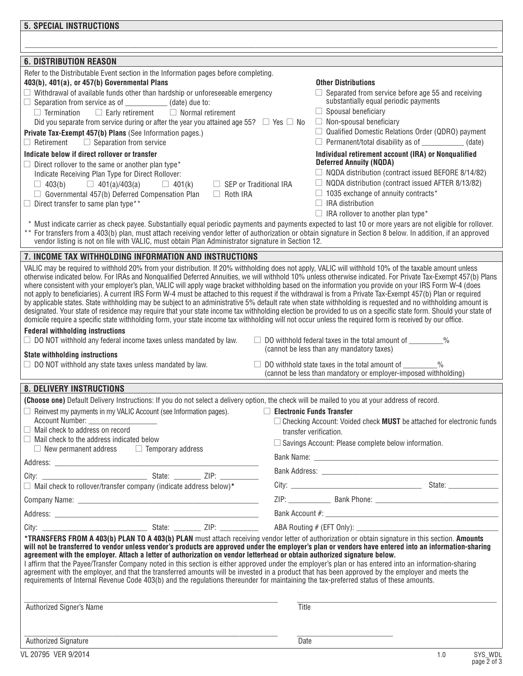| <b>6. DISTRIBUTION REASON</b>                                                                                                                                                                                                                                                                                                                                                                                                                                                                                                                                                                                                                                                                                                                                                                                                                                                                                                                                                                                                                                                                                                                  |                                                                                                                        |  |  |  |  |  |  |
|------------------------------------------------------------------------------------------------------------------------------------------------------------------------------------------------------------------------------------------------------------------------------------------------------------------------------------------------------------------------------------------------------------------------------------------------------------------------------------------------------------------------------------------------------------------------------------------------------------------------------------------------------------------------------------------------------------------------------------------------------------------------------------------------------------------------------------------------------------------------------------------------------------------------------------------------------------------------------------------------------------------------------------------------------------------------------------------------------------------------------------------------|------------------------------------------------------------------------------------------------------------------------|--|--|--|--|--|--|
| Refer to the Distributable Event section in the Information pages before completing.<br>403(b), 401(a), or 457(b) Governmental Plans                                                                                                                                                                                                                                                                                                                                                                                                                                                                                                                                                                                                                                                                                                                                                                                                                                                                                                                                                                                                           | <b>Other Distributions</b>                                                                                             |  |  |  |  |  |  |
| $\Box$ Withdrawal of available funds other than hardship or unforeseeable emergency<br>$\Box$ Separation from service as of ____________(date) due to:                                                                                                                                                                                                                                                                                                                                                                                                                                                                                                                                                                                                                                                                                                                                                                                                                                                                                                                                                                                         | $\Box$ Separated from service before age 55 and receiving<br>substantially equal periodic payments                     |  |  |  |  |  |  |
| $\Box$ Normal retirement<br>$\Box$ Termination<br>$\Box$ Early retirement                                                                                                                                                                                                                                                                                                                                                                                                                                                                                                                                                                                                                                                                                                                                                                                                                                                                                                                                                                                                                                                                      | $\Box$ Spousal beneficiary                                                                                             |  |  |  |  |  |  |
| Did you separate from service during or after the year you attained age 55? $\Box$ Yes $\Box$ No                                                                                                                                                                                                                                                                                                                                                                                                                                                                                                                                                                                                                                                                                                                                                                                                                                                                                                                                                                                                                                               | $\Box$ Non-spousal beneficiary                                                                                         |  |  |  |  |  |  |
| Private Tax-Exempt 457(b) Plans (See Information pages.)                                                                                                                                                                                                                                                                                                                                                                                                                                                                                                                                                                                                                                                                                                                                                                                                                                                                                                                                                                                                                                                                                       | $\Box$ Qualified Domestic Relations Order (QDRO) payment                                                               |  |  |  |  |  |  |
| $\Box$ Separation from service<br>$\Box$ Retirement                                                                                                                                                                                                                                                                                                                                                                                                                                                                                                                                                                                                                                                                                                                                                                                                                                                                                                                                                                                                                                                                                            | $\Box$ Permanent/total disability as of $\Box$ (date)                                                                  |  |  |  |  |  |  |
| Indicate below if direct rollover or transfer<br>$\Box$ Direct rollover to the same or another plan type*                                                                                                                                                                                                                                                                                                                                                                                                                                                                                                                                                                                                                                                                                                                                                                                                                                                                                                                                                                                                                                      | Individual retirement account (IRA) or Nonqualified<br><b>Deferred Annuity (NQDA)</b>                                  |  |  |  |  |  |  |
| Indicate Receiving Plan Type for Direct Rollover:                                                                                                                                                                                                                                                                                                                                                                                                                                                                                                                                                                                                                                                                                                                                                                                                                                                                                                                                                                                                                                                                                              | $\Box$ NQDA distribution (contract issued BEFORE 8/14/82)                                                              |  |  |  |  |  |  |
| $\Box$ 401(k)<br>$\Box$ SEP or Traditional IRA<br>$\Box$ 403(b)<br>$\Box$ 401(a)/403(a)                                                                                                                                                                                                                                                                                                                                                                                                                                                                                                                                                                                                                                                                                                                                                                                                                                                                                                                                                                                                                                                        | $\Box$ NQDA distribution (contract issued AFTER 8/13/82)                                                               |  |  |  |  |  |  |
| $\Box$ Governmental 457(b) Deferred Compensation Plan<br>$\Box$ Roth IRA                                                                                                                                                                                                                                                                                                                                                                                                                                                                                                                                                                                                                                                                                                                                                                                                                                                                                                                                                                                                                                                                       | $\Box$ 1035 exchange of annuity contracts*<br>$\Box$ IRA distribution                                                  |  |  |  |  |  |  |
| $\Box$ Direct transfer to same plan type**                                                                                                                                                                                                                                                                                                                                                                                                                                                                                                                                                                                                                                                                                                                                                                                                                                                                                                                                                                                                                                                                                                     | $\Box$ IRA rollover to another plan type*                                                                              |  |  |  |  |  |  |
| * Must indicate carrier as check payee. Substantially equal periodic payments and payments expected to last 10 or more years are not eligible for rollover.                                                                                                                                                                                                                                                                                                                                                                                                                                                                                                                                                                                                                                                                                                                                                                                                                                                                                                                                                                                    |                                                                                                                        |  |  |  |  |  |  |
| ** For transfers from a 403(b) plan, must attach receiving vendor letter of authorization or obtain signature in Section 8 below. In addition, if an approved                                                                                                                                                                                                                                                                                                                                                                                                                                                                                                                                                                                                                                                                                                                                                                                                                                                                                                                                                                                  |                                                                                                                        |  |  |  |  |  |  |
| vendor listing is not on file with VALIC, must obtain Plan Administrator signature in Section 12.                                                                                                                                                                                                                                                                                                                                                                                                                                                                                                                                                                                                                                                                                                                                                                                                                                                                                                                                                                                                                                              |                                                                                                                        |  |  |  |  |  |  |
| 7. INCOME TAX WITHHOLDING INFORMATION AND INSTRUCTIONS                                                                                                                                                                                                                                                                                                                                                                                                                                                                                                                                                                                                                                                                                                                                                                                                                                                                                                                                                                                                                                                                                         |                                                                                                                        |  |  |  |  |  |  |
| VALIC may be required to withhold 20% from your distribution. If 20% withholding does not apply, VALIC will withhold 10% of the taxable amount unless<br>otherwise indicated below. For IRAs and Nonqualified Deferred Annuities, we will withhold 10% unless otherwise indicated. For Private Tax-Exempt 457(b) Plans<br>where consistent with your employer's plan, VALIC will apply wage bracket withholding based on the information you provide on your IRS Form W-4 (does<br>not apply to beneficiaries). A current IRS Form W-4 must be attached to this request if the withdrawal is from a Private Tax-Exempt 457(b) Plan or required<br>by applicable states. State withholding may be subject to an administrative 5% default rate when state withholding is requested and no withholding amount is<br>designated. Your state of residence may require that your state income tax withholding election be provided to us on a specific state form. Should your state of<br>domicile require a specific state withholding form, your state income tax withholding will not occur unless the required form is received by our office. |                                                                                                                        |  |  |  |  |  |  |
| <b>Federal withholding instructions</b>                                                                                                                                                                                                                                                                                                                                                                                                                                                                                                                                                                                                                                                                                                                                                                                                                                                                                                                                                                                                                                                                                                        |                                                                                                                        |  |  |  |  |  |  |
| $\Box$ DO NOT withhold any federal income taxes unless mandated by law.                                                                                                                                                                                                                                                                                                                                                                                                                                                                                                                                                                                                                                                                                                                                                                                                                                                                                                                                                                                                                                                                        | □ DO withhold federal taxes in the total amount of _________%<br>(cannot be less than any mandatory taxes)             |  |  |  |  |  |  |
| <b>State withholding instructions</b>                                                                                                                                                                                                                                                                                                                                                                                                                                                                                                                                                                                                                                                                                                                                                                                                                                                                                                                                                                                                                                                                                                          |                                                                                                                        |  |  |  |  |  |  |
| $\Box$ DO NOT withhold any state taxes unless mandated by law.                                                                                                                                                                                                                                                                                                                                                                                                                                                                                                                                                                                                                                                                                                                                                                                                                                                                                                                                                                                                                                                                                 | DO withhold state taxes in the total amount of<br>(cannot be less than mandatory or employer-imposed withholding)      |  |  |  |  |  |  |
| <b>8. DELIVERY INSTRUCTIONS</b>                                                                                                                                                                                                                                                                                                                                                                                                                                                                                                                                                                                                                                                                                                                                                                                                                                                                                                                                                                                                                                                                                                                |                                                                                                                        |  |  |  |  |  |  |
| (Choose one) Default Delivery Instructions: If you do not select a delivery option, the check will be mailed to you at your address of record.                                                                                                                                                                                                                                                                                                                                                                                                                                                                                                                                                                                                                                                                                                                                                                                                                                                                                                                                                                                                 |                                                                                                                        |  |  |  |  |  |  |
| Reinvest my payments in my VALIC Account (see Information pages).<br>Account Number:                                                                                                                                                                                                                                                                                                                                                                                                                                                                                                                                                                                                                                                                                                                                                                                                                                                                                                                                                                                                                                                           | $\Box$ Electronic Funds Transfer<br>$\Box$ Checking Account: Voided check <b>MUST</b> be attached for electronic funds |  |  |  |  |  |  |
| Mail check to address on record                                                                                                                                                                                                                                                                                                                                                                                                                                                                                                                                                                                                                                                                                                                                                                                                                                                                                                                                                                                                                                                                                                                | transfer verification.                                                                                                 |  |  |  |  |  |  |
| Mail check to the address indicated below                                                                                                                                                                                                                                                                                                                                                                                                                                                                                                                                                                                                                                                                                                                                                                                                                                                                                                                                                                                                                                                                                                      | □ Savings Account: Please complete below information.                                                                  |  |  |  |  |  |  |
| $\Box$ New permanent address $\Box$ Temporary address                                                                                                                                                                                                                                                                                                                                                                                                                                                                                                                                                                                                                                                                                                                                                                                                                                                                                                                                                                                                                                                                                          |                                                                                                                        |  |  |  |  |  |  |
|                                                                                                                                                                                                                                                                                                                                                                                                                                                                                                                                                                                                                                                                                                                                                                                                                                                                                                                                                                                                                                                                                                                                                |                                                                                                                        |  |  |  |  |  |  |
| $\Box$ Mail check to rollover/transfer company (indicate address below)*                                                                                                                                                                                                                                                                                                                                                                                                                                                                                                                                                                                                                                                                                                                                                                                                                                                                                                                                                                                                                                                                       |                                                                                                                        |  |  |  |  |  |  |
|                                                                                                                                                                                                                                                                                                                                                                                                                                                                                                                                                                                                                                                                                                                                                                                                                                                                                                                                                                                                                                                                                                                                                |                                                                                                                        |  |  |  |  |  |  |
|                                                                                                                                                                                                                                                                                                                                                                                                                                                                                                                                                                                                                                                                                                                                                                                                                                                                                                                                                                                                                                                                                                                                                |                                                                                                                        |  |  |  |  |  |  |
|                                                                                                                                                                                                                                                                                                                                                                                                                                                                                                                                                                                                                                                                                                                                                                                                                                                                                                                                                                                                                                                                                                                                                |                                                                                                                        |  |  |  |  |  |  |
|                                                                                                                                                                                                                                                                                                                                                                                                                                                                                                                                                                                                                                                                                                                                                                                                                                                                                                                                                                                                                                                                                                                                                |                                                                                                                        |  |  |  |  |  |  |
| *TRANSFERS FROM A 403(b) PLAN TO A 403(b) PLAN must attach receiving vendor letter of authorization or obtain signature in this section. Amounts<br>will not be transferred to vendor unless vendor's products are approved under the employer's plan or vendors have entered into an information-sharing<br>agreement with the employer. Attach a letter of authorization on vendor letterhead or obtain authorized signature below.<br>I affirm that the Payee/Transfer Company noted in this section is either approved under the employer's plan or has entered into an information-sharing<br>agreement with the employer, and that the transferred amounts will be invested in a product that has been approved by the employer and meets the<br>requirements of Internal Revenue Code 403(b) and the regulations thereunder for maintaining the tax-preferred status of these amounts.                                                                                                                                                                                                                                                  |                                                                                                                        |  |  |  |  |  |  |
| Authorized Signer's Name                                                                                                                                                                                                                                                                                                                                                                                                                                                                                                                                                                                                                                                                                                                                                                                                                                                                                                                                                                                                                                                                                                                       | Title                                                                                                                  |  |  |  |  |  |  |
|                                                                                                                                                                                                                                                                                                                                                                                                                                                                                                                                                                                                                                                                                                                                                                                                                                                                                                                                                                                                                                                                                                                                                |                                                                                                                        |  |  |  |  |  |  |
|                                                                                                                                                                                                                                                                                                                                                                                                                                                                                                                                                                                                                                                                                                                                                                                                                                                                                                                                                                                                                                                                                                                                                |                                                                                                                        |  |  |  |  |  |  |
| <b>Authorized Signature</b>                                                                                                                                                                                                                                                                                                                                                                                                                                                                                                                                                                                                                                                                                                                                                                                                                                                                                                                                                                                                                                                                                                                    | Date                                                                                                                   |  |  |  |  |  |  |
| VL 20795 VER 9/2014                                                                                                                                                                                                                                                                                                                                                                                                                                                                                                                                                                                                                                                                                                                                                                                                                                                                                                                                                                                                                                                                                                                            | SYS_WDL<br>1.0                                                                                                         |  |  |  |  |  |  |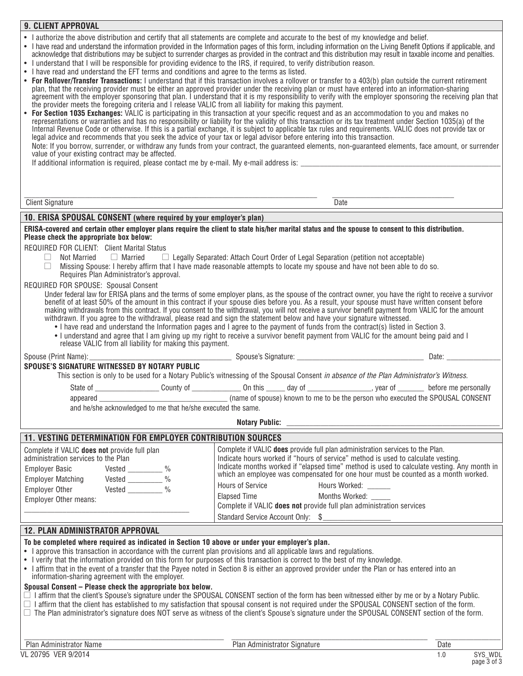|--|

• I authorize the above distribution and certify that all statements are complete and accurate to the best of my knowledge and belief.

• I have read and understand the information provided in the Information pages of this form, including information on the Living Benefit Options if applicable, and acknowledge that distributions may be subject to surrender charges as provided in the contract and this distribution may result in taxable income and penalties. I understand that I will be responsible for providing evidence to the IRS, if required, to verify distribution reason.

I have read and understand the EFT terms and conditions and agree to the terms as listed.

For Rollover/Transfer Transactions: I understand that if this transaction involves a rollover or transfer to a 403(b) plan outside the current retirement plan, that the receiving provider must be either an approved provider under the receiving plan or must have entered into an information-sharing agreement with the employer sponsoring that plan. I understand that it is my responsibility to verify with the employer sponsoring the receiving plan that

the provider meets the foregoing criteria and I release VALIC from all liability for making this payment. **For Section 1035 Exchanges:** VALIC is participating in this transaction at your specific request and as an accommodation to you and makes no representations or warranties and has no responsibility or liability for the validity of this transaction or its tax treatment under Section 1035(a) of the Internal Revenue Code or otherwise. If this is a partial exchange, it is subject to applicable tax rules and requirements. VALIC does not provide tax or legal advice and recommends that you seek the advice of your tax or legal advisor before entering into this transaction. Note: If you borrow, surrender, or withdraw any funds from your contract, the guaranteed elements, non-guaranteed elements, face amount, or surrender value of your existing contract may be affected. If additional information is required, please contact me by e-mail. My e-mail address is:  $\_$  ,  $\_$  ,  $\_$  ,  $\_$  ,  $\_$  ,  $\_$  ,  $\_$  ,  $\_$  ,  $\_$  ,  $\_$  ,  $\_$  ,  $\_$  ,  $\_$  ,  $\_$  ,  $\_$  ,  $\_$  ,  $\_$  ,  $\_$  ,  $\_$  ,  $\_$  ,  $\_$  ,  $\_$  ,  $\_$  ,  $\_$  ,  $\_$  ,  $\_$  ,  $\_$  ,  $\_$  ,  $\_$  ,  $\_$  ,  $\_$  ,  $\_$  ,  $\_$  ,  $\_$  ,  $\_$  ,  $\_$  ,  $\_$  , Client Signature Date **10. ERISA SPOUSAL CONSENT (where required by your employer's plan) ERISA-covered and certain other employer plans require the client to state his/her marital status and the spouse to consent to this distribution. Please check the appropriate box below:** REQUIRED FOR CLIENT: Client Marital Status  $\Box$  Not Married  $\Box$  Married  $\Box$  Legally Separated: Attach Court Order of Legal Separation (petition not acceptable)  $\Box$  Missing Spouse: I hereby affirm that I have made reasonable attempts to locate my spouse and have Missing Spouse: I hereby affirm that I have made reasonable attempts to locate my spouse and have not been able to do so. Requires Plan Administrator's approval. REQUIRED FOR SPOUSE: Spousal Consent Under federal law for ERISA plans and the terms of some employer plans, as the spouse of the contract owner, you have the right to receive a survivor benefit of at least 50% of the amount in this contract if your spouse dies before you. As a result, your spouse must have written consent before making withdrawals from this contract. If you consent to the withdrawal, you will not receive a survivor benefit payment from VALIC for the amount making withdrawals from this contract. If you consent to the withdrawal, yo withdrawn. If you agree to the withdrawal, please read and sign the statement below and have your signature witnessed. • I have read and understand the Information pages and I agree to the payment of funds from the contract(s) listed in Section 3. • I understand and agree that I am giving up my right to receive a survivor benefit payment from VALIC for the amount being paid and I release VALIC from all liability for making this payment. Spouse (Print Name):\_\_\_\_\_\_\_\_\_\_\_\_\_\_\_\_\_\_\_\_\_\_\_\_\_\_\_\_\_\_\_\_\_\_\_\_\_ Spouse's Signature: \_\_\_\_\_\_\_\_\_\_\_\_\_\_\_\_\_\_\_\_\_\_\_\_\_\_\_\_\_\_\_\_\_ Date: \_\_\_\_\_\_\_\_\_\_\_\_\_\_ **SPOUSE'S SIGNATURE WITNESSED BY NOTARY PUBLIC** This section is only to be used for a Notary Public's witnessing of the Spousal Consent *in absence of the Plan Administrator's Witness*. State of \_\_\_\_\_\_\_\_\_\_\_\_\_\_\_\_\_ County of \_\_\_\_\_\_\_\_\_\_\_\_\_ On this \_\_\_\_\_ day of \_\_\_\_\_\_\_\_\_\_\_\_\_\_\_\_\_, year of \_\_\_\_\_\_\_ before me personally appeared \_\_\_\_\_\_\_\_\_\_\_\_\_\_\_\_\_\_\_\_\_\_\_\_\_\_\_\_\_\_\_\_\_\_ (name of spouse) known to me to be the person who executed the SPOUSAL CONSENT and he/she acknowledged to me that he/she executed the same. Notary Public: **11. VESTING DETERMINATION FOR EMPLOYER CONTRIBUTION SOURCES** Complete if VALIC **does not** provide full plan administration services to the Plan Employer Basic Vested 2008 Employer Matching Vested \_\_\_\_\_\_\_\_ % Employer Other Vested 2% Complete if VALIC **does** provide full plan administration services to the Plan. Indicate hours worked if "hours of service" method is used to calculate vesting. Indicate months worked if "elapsed time" method is used to calculate vesting. Any month in which an employee was compensated for one hour must be counted as a month worked. Hours of Service Hours Worked:

Employer Other means: \_\_\_\_\_\_\_\_\_\_\_\_\_\_\_\_\_\_\_\_\_\_\_\_\_\_\_\_\_\_\_\_\_\_\_\_\_\_\_\_\_\_\_ Elapsed Time **Months Worked:** Complete if VALIC **does not** provide full plan administration services Standard Service Account Only: \$

## **12. PLAN ADMINISTRATOR APPROVAL**

**To be completed where required as indicated in Section 10 above or under your employer's plan.**

- I approve this transaction in accordance with the current plan provisions and all applicable laws and requlations.
- • I verify that the information provided on this form for purposes of this transaction is correct to the best of my knowledge.
- I affirm that in the event of a transfer that the Payee noted in Section 8 is either an approved provider under the Plan or has entered into an information-sharing agreement with the employer.

## **Spousal Consent – Please check the appropriate box below.**

 $\Box$  I affirm that the client's Spouse's signature under the SPOUSAL CONSENT section of the form has been witnessed either by me or by a Notary Public.

- $\Box$  I affirm that the client has established to my satisfaction that spousal consent is not required under the SPOUSAL CONSENT section of the form.
- $\Box$  The Plan administrator's signature does NOT serve as witness of the client's Spouse's signature under the SPOUSAL CONSENT section of the form.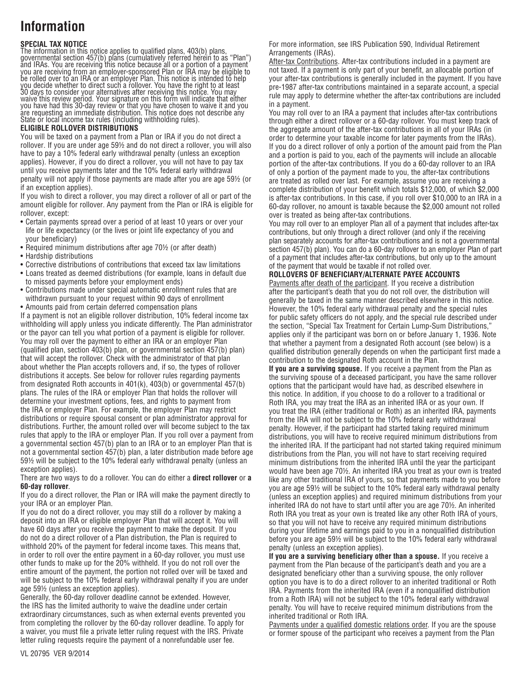## **Information**

#### **SPECIAL TAX NOTICE**

The information in this notice applies to qualified plans, 403(b) plans, governmental section 457(b) plans (cumulatively referred herein to as "Plan") and IRAs. You are receiving this notice because all or a portion of a payment you are receiving from an employer-sponsored Plan or IRA may be eligible to be rolled over to an IRA or an employer Plan. This notice is intended to help you decide whether to direct such a rollover. You have the right to at least 30 days to consider your alternatives after receiving this notice. You may waive this review period. Your signature on this form will indicate that either you have had this 30-day review or that you have chosen to waive it and you are requesting an immediate distribution. This notice does not describe any State or local income tax rules (including withholding rules).

#### **ELIGIBLE ROLLOVER DISTRIBUTIONS**

You will be taxed on a payment from a Plan or IRA if you do not direct a rollover. If you are under age 59½ and do not direct a rollover, you will also have to pay a 10% federal early withdrawal penalty (unless an exception applies). However, if you do direct a rollover, you will not have to pay tax until you receive payments later and the 10% federal early withdrawal penalty will not apply if those payments are made after you are age 59½ (or if an exception applies).

If you wish to direct a rollover, you may direct a rollover of all or part of the amount eligible for rollover. Any payment from the Plan or IRA is eligible for rollover, except:

- Certain payments spread over a period of at least 10 years or over your life or life expectancy (or the lives or joint life expectancy of you and your beneficiary)
- Required minimum distributions after age 70½ (or after death)
- Hardship distributions
- • Corrective distributions of contributions that exceed tax law limitations
- • Loans treated as deemed distributions (for example, loans in default due to missed payments before your employment ends)
- • Contributions made under special automatic enrollment rules that are withdrawn pursuant to your request within 90 days of enrollment
- Amounts paid from certain deferred compensation plans If a payment is not an eligible rollover distribution, 10% federal income tax withholding will apply unless you indicate differently. The Plan administrator or the payor can tell you what portion of a payment is eligible for rollover. You may roll over the payment to either an IRA or an employer Plan (qualified plan, section 403(b) plan, or governmental section 457(b) plan) that will accept the rollover. Check with the administrator of that plan about whether the Plan accepts rollovers and, if so, the types of rollover distributions it accepts. See below for rollover rules regarding payments from designated Roth accounts in 401(k), 403(b) or governmental 457(b) plans. The rules of the IRA or employer Plan that holds the rollover will determine your investment options, fees, and rights to payment from the IRA or employer Plan. For example, the employer Plan may restrict distributions or require spousal consent or plan administrator approval for distributions. Further, the amount rolled over will become subject to the tax rules that apply to the IRA or employer Plan. If you roll over a payment from a governmental section 457(b) plan to an IRA or to an employer Plan that is not a governmental section 457(b) plan, a later distribution made before age 59½ will be subject to the 10% federal early withdrawal penalty (unless an exception applies).

#### There are two ways to do a rollover. You can do either a **direct rollover** or **a 60-day rollover**.

If you do a direct rollover, the Plan or IRA will make the payment directly to your IRA or an employer Plan.

If you do not do a direct rollover, you may still do a rollover by making a deposit into an IRA or eligible employer Plan that will accept it. You will have 60 days after you receive the payment to make the deposit. If you do not do a direct rollover of a Plan distribution, the Plan is required to withhold 20% of the payment for federal income taxes. This means that, in order to roll over the entire payment in a 60-day rollover, you must use other funds to make up for the 20% withheld. If you do not roll over the entire amount of the payment, the portion not rolled over will be taxed and will be subject to the 10% federal early withdrawal penalty if you are under age 59½ (unless an exception applies).

Generally, the 60-day rollover deadline cannot be extended. However, the IRS has the limited authority to waive the deadline under certain extraordinary circumstances, such as when external events prevented you from completing the rollover by the 60-day rollover deadline. To apply for a waiver, you must file a private letter ruling request with the IRS. Private letter ruling requests require the payment of a nonrefundable user fee.

For more information, see IRS Publication 590, Individual Retirement Arrangements (IRAs).

After-tax Contributions. After-tax contributions included in a payment are not taxed. If a payment is only part of your benefit, an allocable portion of your after-tax contributions is generally included in the payment. If you have pre-1987 after-tax contributions maintained in a separate account, a special rule may apply to determine whether the after-tax contributions are included in a payment.

You may roll over to an IRA a payment that includes after-tax contributions through either a direct rollover or a 60-day rollover. You must keep track of the aggregate amount of the after-tax contributions in all of your IRAs (in order to determine your taxable income for later payments from the IRAs). If you do a direct rollover of only a portion of the amount paid from the Plan and a portion is paid to you, each of the payments will include an allocable portion of the after-tax contributions. If you do a 60-day rollover to an IRA of only a portion of the payment made to you, the after-tax contributions are treated as rolled over last. For example, assume you are receiving a complete distribution of your benefit which totals \$12,000, of which \$2,000 is after-tax contributions. In this case, if you roll over \$10,000 to an IRA in a 60-day rollover, no amount is taxable because the \$2,000 amount not rolled over is treated as being after-tax contributions.

You may roll over to an employer Plan all of a payment that includes after-tax contributions, but only through a direct rollover (and only if the receiving plan separately accounts for after-tax contributions and is not a governmental section 457(b) plan). You can do a 60-day rollover to an employer Plan of part of a payment that includes after-tax contributions, but only up to the amount of the payment that would be taxable if not rolled over.

## **ROLLOVERS OF BENEFICIARY/ALTERNATE PAYEE ACCOUNTS**

Payments after death of the participant. If you receive a distribution after the participant's death that you do not roll over, the distribution will generally be taxed in the same manner described elsewhere in this notice. However, the 10% federal early withdrawal penalty and the special rules for public safety officers do not apply, and the special rule described under the section, "Special Tax Treatment for Certain Lump-Sum Distributions," applies only if the participant was born on or before January 1, 1936. Note that whether a payment from a designated Roth account (see below) is a qualified distribution generally depends on when the participant first made a contribution to the designated Roth account in the Plan.

**If you are a surviving spouse.** If you receive a payment from the Plan as the surviving spouse of a deceased participant, you have the same rollover options that the participant would have had, as described elsewhere in this notice. In addition, if you choose to do a rollover to a traditional or Roth IRA, you may treat the IRA as an inherited IRA or as your own. If you treat the IRA (either traditional or Roth) as an inherited IRA, payments from the IRA will not be subject to the 10% federal early withdrawal penalty. However, if the participant had started taking required minimum distributions, you will have to receive required minimum distributions from the inherited IRA. If the participant had not started taking required minimum distributions from the Plan, you will not have to start receiving required minimum distributions from the inherited IRA until the year the participant would have been age 70½. An inherited IRA you treat as your own is treated like any other traditional IRA of yours, so that payments made to you before you are age 59½ will be subject to the 10% federal early withdrawal penalty (unless an exception applies) and required minimum distributions from your inherited IRA do not have to start until after you are age 70½. An inherited Roth IRA you treat as your own is treated like any other Roth IRA of yours, so that you will not have to receive any required minimum distributions during your lifetime and earnings paid to you in a nonqualified distribution before you are age 59½ will be subject to the 10% federal early withdrawal penalty (unless an exception applies).

**If you are a surviving beneficiary other than a spouse.** If you receive a payment from the Plan because of the participant's death and you are a designated beneficiary other than a surviving spouse, the only rollover option you have is to do a direct rollover to an inherited traditional or Roth IRA. Payments from the inherited IRA (even if a nonqualified distribution from a Roth IRA) will not be subject to the 10% federal early withdrawal penalty. You will have to receive required minimum distributions from the inherited traditional or Roth IRA.

Payments under a qualified domestic relations order. If you are the spouse or former spouse of the participant who receives a payment from the Plan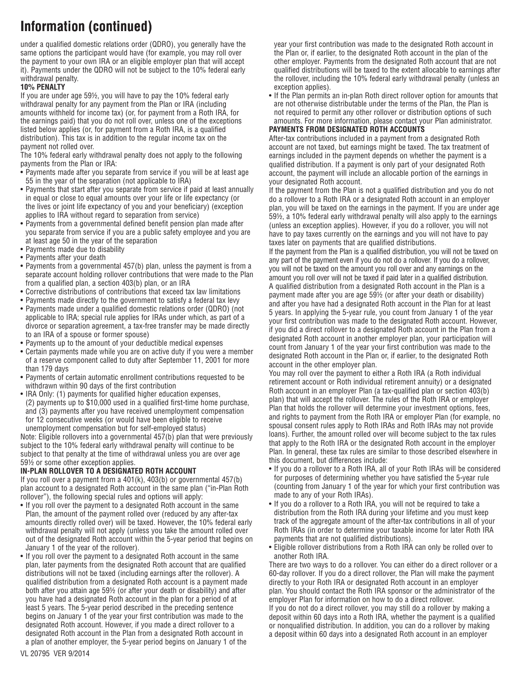under a qualified domestic relations order (QDRO), you generally have the same options the participant would have (for example, you may roll over the payment to your own IRA or an eligible employer plan that will accept it). Payments under the QDRO will not be subject to the 10% federal early withdrawal penalty.

#### **10% PENALTY**

If you are under age 59½, you will have to pay the 10% federal early withdrawal penalty for any payment from the Plan or IRA (including amounts withheld for income tax) (or, for payment from a Roth IRA, for the earnings paid) that you do not roll over, unless one of the exceptions listed below applies (or, for payment from a Roth IRA, is a qualified distribution). This tax is in addition to the regular income tax on the payment not rolled over.

The 10% federal early withdrawal penalty does not apply to the following payments from the Plan or IRA:

- Payments made after you separate from service if you will be at least age 55 in the year of the separation (not applicable to IRA)
- Payments that start after you separate from service if paid at least annually in equal or close to equal amounts over your life or life expectancy (or the lives or joint life expectancy of you and your beneficiary) (exception applies to IRA without regard to separation from service)
- Payments from a governmental defined benefit pension plan made after you separate from service if you are a public safety employee and you are at least age 50 in the year of the separation
- Payments made due to disability
- • Payments after your death
- Payments from a governmental 457(b) plan, unless the payment is from a separate account holding rollover contributions that were made to the Plan from a qualified plan, a section 403(b) plan, or an IRA
- • Corrective distributions of contributions that exceed tax law limitations
- Payments made directly to the government to satisfy a federal tax levy
- • Payments made under a qualified domestic relations order (QDRO) (not applicable to IRA; special rule applies for IRAs under which, as part of a divorce or separation agreement, a tax-free transfer may be made directly to an IRA of a spouse or former spouse)
- • Payments up to the amount of your deductible medical expenses
- Certain payments made while you are on active duty if you were a member of a reserve component called to duty after September 11, 2001 for more than 179 days
- Payments of certain automatic enrollment contributions requested to be withdrawn within 90 days of the first contribution
- IRA Only: (1) payments for qualified higher education expenses, (2) payments up to \$10,000 used in a qualified first-time home purchase, and (3) payments after you have received unemployment compensation for 12 consecutive weeks (or would have been eligible to receive unemployment compensation but for self-employed status)

Note: Eligible rollovers into a governmental 457(b) plan that were previously subject to the 10% federal early withdrawal penalty will continue to be subject to that penalty at the time of withdrawal unless you are over age 59½ or some other exception applies.

### **In-Plan Rollover to a Designated Roth Account**

If you roll over a payment from a  $401(k)$ ,  $403(b)$  or governmental  $457(b)$ plan account to a designated Roth account in the same plan ("in-Plan Roth rollover"), the following special rules and options will apply:

- If you roll over the payment to a designated Roth account in the same Plan, the amount of the payment rolled over (reduced by any after-tax amounts directly rolled over) will be taxed. However, the 10% federal early withdrawal penalty will not apply (unless you take the amount rolled over out of the designated Roth account within the 5-year period that begins on January 1 of the year of the rollover).
- If you roll over the payment to a designated Roth account in the same plan, later payments from the designated Roth account that are qualified distributions will not be taxed (including earnings after the rollover). A qualified distribution from a designated Roth account is a payment made both after you attain age 59½ (or after your death or disability) and after you have had a designated Roth account in the plan for a period of at least 5 years. The 5-year period described in the preceding sentence begins on January 1 of the year your first contribution was made to the designated Roth account. However, if you made a direct rollover to a designated Roth account in the Plan from a designated Roth account in a plan of another employer, the 5-year period begins on January 1 of the

year your first contribution was made to the designated Roth account in the Plan or, if earlier, to the designated Roth account in the plan of the other employer. Payments from the designated Roth account that are not qualified distributions will be taxed to the extent allocable to earnings after the rollover, including the 10% federal early withdrawal penalty (unless an exception applies).

• If the Plan permits an in-plan Roth direct rollover option for amounts that are not otherwise distributable under the terms of the Plan, the Plan is not required to permit any other rollover or distribution options of such amounts. For more information, please contact your Plan administrator.

#### **Payments from Designated Roth Accounts**

After-tax contributions included in a payment from a designated Roth account are not taxed, but earnings might be taxed. The tax treatment of earnings included in the payment depends on whether the payment is a qualified distribution. If a payment is only part of your designated Roth account, the payment will include an allocable portion of the earnings in your designated Roth account.

If the payment from the Plan is not a qualified distribution and you do not do a rollover to a Roth IRA or a designated Roth account in an employer plan, you will be taxed on the earnings in the payment. If you are under age 59½, a 10% federal early withdrawal penalty will also apply to the earnings (unless an exception applies). However, if you do a rollover, you will not have to pay taxes currently on the earnings and you will not have to pay taxes later on payments that are qualified distributions.

If the payment from the Plan is a qualified distribution, you will not be taxed on any part of the payment even if you do not do a rollover. If you do a rollover, you will not be taxed on the amount you roll over and any earnings on the amount you roll over will not be taxed if paid later in a qualified distribution. A qualified distribution from a designated Roth account in the Plan is a payment made after you are age 59½ (or after your death or disability) and after you have had a designated Roth account in the Plan for at least 5 years. In applying the 5-year rule, you count from January 1 of the year your first contribution was made to the designated Roth account. However, if you did a direct rollover to a designated Roth account in the Plan from a designated Roth account in another employer plan, your participation will count from January 1 of the year your first contribution was made to the designated Roth account in the Plan or, if earlier, to the designated Roth account in the other employer plan.

You may roll over the payment to either a Roth IRA (a Roth individual retirement account or Roth individual retirement annuity) or a designated Roth account in an employer Plan (a tax-qualified plan or section 403(b) plan) that will accept the rollover. The rules of the Roth IRA or employer Plan that holds the rollover will determine your investment options, fees, and rights to payment from the Roth IRA or employer Plan (for example, no spousal consent rules apply to Roth IRAs and Roth IRAs may not provide loans). Further, the amount rolled over will become subject to the tax rules that apply to the Roth IRA or the designated Roth account in the employer Plan. In general, these tax rules are similar to those described elsewhere in this document, but differences include:

- If you do a rollover to a Roth IRA, all of your Roth IRAs will be considered for purposes of determining whether you have satisfied the 5-year rule (counting from January 1 of the year for which your first contribution was made to any of your Roth IRAs).
- If you do a rollover to a Roth IRA, you will not be required to take a distribution from the Roth IRA during your lifetime and you must keep track of the aggregate amount of the after-tax contributions in all of your Roth IRAs (in order to determine your taxable income for later Roth IRA payments that are not qualified distributions).
- Eligible rollover distributions from a Roth IRA can only be rolled over to another Roth IRA.

There are two ways to do a rollover. You can either do a direct rollover or a 60-day rollover. If you do a direct rollover, the Plan will make the payment directly to your Roth IRA or designated Roth account in an employer plan. You should contact the Roth IRA sponsor or the administrator of the employer Plan for information on how to do a direct rollover.

If you do not do a direct rollover, you may still do a rollover by making a deposit within 60 days into a Roth IRA, whether the payment is a qualified or nonqualified distribution. In addition, you can do a rollover by making a deposit within 60 days into a designated Roth account in an employer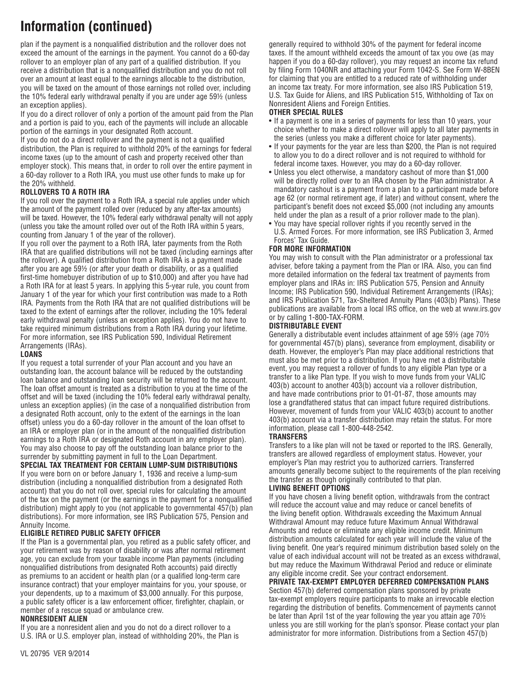plan if the payment is a nonqualified distribution and the rollover does not exceed the amount of the earnings in the payment. You cannot do a 60-day rollover to an employer plan of any part of a qualified distribution. If you receive a distribution that is a nonqualified distribution and you do not roll over an amount at least equal to the earnings allocable to the distribution, you will be taxed on the amount of those earnings not rolled over, including the 10% federal early withdrawal penalty if you are under age 59½ (unless an exception applies).

If you do a direct rollover of only a portion of the amount paid from the Plan and a portion is paid to you, each of the payments will include an allocable portion of the earnings in your designated Roth account.

If you do not do a direct rollover and the payment is not a qualified distribution, the Plan is required to withhold 20% of the earnings for federal income taxes (up to the amount of cash and property received other than employer stock). This means that, in order to roll over the entire payment in a 60-day rollover to a Roth IRA, you must use other funds to make up for the 20% withheld.

### **Rollovers to a Roth IRA**

If you roll over the payment to a Roth IRA, a special rule applies under which the amount of the payment rolled over (reduced by any after-tax amounts) will be taxed. However, the 10% federal early withdrawal penalty will not apply (unless you take the amount rolled over out of the Roth IRA within 5 years, counting from January 1 of the year of the rollover).

If you roll over the payment to a Roth IRA, later payments from the Roth IRA that are qualified distributions will not be taxed (including earnings after the rollover). A qualified distribution from a Roth IRA is a payment made after you are age 59½ (or after your death or disability, or as a qualified first-time homebuyer distribution of up to \$10,000) and after you have had a Roth IRA for at least 5 years. In applying this 5-year rule, you count from January 1 of the year for which your first contribution was made to a Roth IRA. Payments from the Roth IRA that are not qualified distributions will be taxed to the extent of earnings after the rollover, including the 10% federal early withdrawal penalty (unless an exception applies). You do not have to take required minimum distributions from a Roth IRA during your lifetime. For more information, see IRS Publication 590, Individual Retirement Arrangements (IRAs).

#### **LOANS**

If you request a total surrender of your Plan account and you have an outstanding loan, the account balance will be reduced by the outstanding loan balance and outstanding loan security will be returned to the account. The loan offset amount is treated as a distribution to you at the time of the offset and will be taxed (including the 10% federal early withdrawal penalty, unless an exception applies) (in the case of a nonqualified distribution from a designated Roth account, only to the extent of the earnings in the loan offset) unless you do a 60-day rollover in the amount of the loan offset to an IRA or employer plan (or in the amount of the nonqualified distribution earnings to a Roth IRA or designated Roth account in any employer plan). You may also choose to pay off the outstanding loan balance prior to the surrender by submitting payment in full to the Loan Department.

**SPECIAL TAX TREATMENT FOR CERTAIN LUMP-SUM DISTRIBUTIONS**

If you were born on or before January 1, 1936 and receive a lump-sum distribution (including a nonqualified distribution from a designated Roth account) that you do not roll over, special rules for calculating the amount of the tax on the payment (or the earnings in the payment for a nonqualified distribution) might apply to you (not applicable to governmental 457(b) plan distributions). For more information, see IRS Publication 575, Pension and Annuity Income.

## **ELIGIBLE RETIRED PUBLIC SAFETY OFFICER**

If the Plan is a governmental plan, you retired as a public safety officer, and your retirement was by reason of disability or was after normal retirement age, you can exclude from your taxable income Plan payments (including nonqualified distributions from designated Roth accounts) paid directly as premiums to an accident or health plan (or a qualified long-term care insurance contract) that your employer maintains for you, your spouse, or your dependents, up to a maximum of \$3,000 annually. For this purpose, a public safety officer is a law enforcement officer, firefighter, chaplain, or member of a rescue squad or ambulance crew.

### **NONRESIDENT ALIEN**

If you are a nonresident alien and you do not do a direct rollover to a U.S. IRA or U.S. employer plan, instead of withholding 20%, the Plan is generally required to withhold 30% of the payment for federal income taxes. If the amount withheld exceeds the amount of tax you owe (as may happen if you do a 60-day rollover), you may request an income tax refund by filing Form 1040NR and attaching your Form 1042-S. See Form W-8BEN for claiming that you are entitled to a reduced rate of withholding under an income tax treaty. For more information, see also IRS Publication 519, U.S. Tax Guide for Aliens, and IRS Publication 515, Withholding of Tax on Nonresident Aliens and Foreign Entities.

### **OTHER SPECIAL RULES**

- If a payment is one in a series of payments for less than 10 years, your choice whether to make a direct rollover will apply to all later payments in the series (unless you make a different choice for later payments).
- If your payments for the year are less than \$200, the Plan is not required to allow you to do a direct rollover and is not required to withhold for federal income taxes. However, you may do a 60-day rollover.
- Unless you elect otherwise, a mandatory cashout of more than \$1,000 will be directly rolled over to an IRA chosen by the Plan administrator. A mandatory cashout is a payment from a plan to a participant made before age 62 (or normal retirement age, if later) and without consent, where the participant's benefit does not exceed \$5,000 (not including any amounts held under the plan as a result of a prior rollover made to the plan).
- You may have special rollover rights if you recently served in the U.S. Armed Forces. For more information, see IRS Publication 3, Armed Forces' Tax Guide.

#### **FOR MORE INFORMATION**

You may wish to consult with the Plan administrator or a professional tax adviser, before taking a payment from the Plan or IRA. Also, you can find more detailed information on the federal tax treatment of payments from employer plans and IRAs in: IRS Publication 575, Pension and Annuity Income; IRS Publication 590, Individual Retirement Arrangements (IRAs); and IRS Publication 571, Tax-Sheltered Annuity Plans (403(b) Plans). These publications are available from a local IRS office, on the web at www.irs.gov or by calling 1-800-TAX-FORM.

#### **DISTRIBUTABLE EVENT**

Generally a distributable event includes attainment of age 59½ (age 70½ for governmental 457(b) plans), severance from employment, disability or death. However, the employer's Plan may place additional restrictions that must also be met prior to a distribution. If you have met a distributable event, you may request a rollover of funds to any eligible Plan type or a transfer to a like Plan type. If you wish to move funds from your VALIC 403(b) account to another 403(b) account via a rollover distribution, and have made contributions prior to 01-01-87, those amounts may lose a grandfathered status that can impact future required distributions. However, movement of funds from your VALIC 403(b) account to another 403(b) account via a transfer distribution may retain the status. For more information, please call 1-800-448-2542.

#### **TRANSFERS**

Transfers to a like plan will not be taxed or reported to the IRS. Generally, transfers are allowed regardless of employment status. However, your employer's Plan may restrict you to authorized carriers. Transferred amounts generally become subject to the requirements of the plan receiving the transfer as though originally contributed to that plan.

#### **LIVING BENEFIT OPTIONS**

If you have chosen a living benefit option, withdrawals from the contract will reduce the account value and may reduce or cancel benefits of the living benefit option. Withdrawals exceeding the Maximum Annual Withdrawal Amount may reduce future Maximum Annual Withdrawal Amounts and reduce or eliminate any eligible income credit. Minimum distribution amounts calculated for each year will include the value of the living benefit. One year's required minimum distribution based solely on the value of each individual account will not be treated as an excess withdrawal, but may reduce the Maximum Withdrawal Period and reduce or eliminate any eligible income credit. See your contract endorsement.

## **PRIVATE TAX-EXEMPT EMPLOYER DEFERRED COMPENSATION PLANS**

Section 457(b) deferred compensation plans sponsored by private tax-exempt employers require participants to make an irrevocable election regarding the distribution of benefits. Commencement of payments cannot be later than April 1st of the year following the year you attain age 70½ unless you are still working for the plan's sponsor. Please contact your plan administrator for more information. Distributions from a Section 457(b)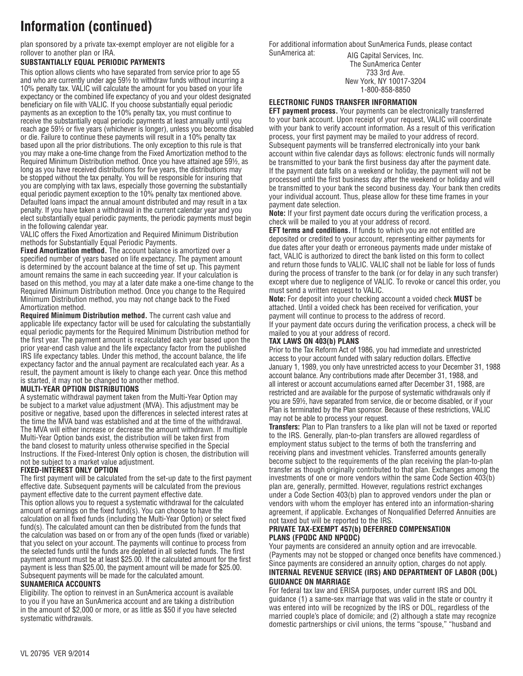plan sponsored by a private tax-exempt employer are not eligible for a rollover to another plan or IRA.

#### **SUBSTANTIALLY EQUAL PERIODIC PAYMENTS**

This option allows clients who have separated from service prior to age 55 and who are currently under age 59½ to withdraw funds without incurring a 10% penalty tax. VALIC will calculate the amount for you based on your life expectancy or the combined life expectancy of you and your oldest designated beneficiary on file with VALIC. If you choose substantially equal periodic payments as an exception to the 10% penalty tax, you must continue to receive the substantially equal periodic payments at least annually until you reach age 59½ or five years (whichever is longer), unless you become disabled or die. Failure to continue these payments will result in a 10% penalty tax based upon all the prior distributions. The only exception to this rule is that you may make a one-time change from the Fixed Amortization method to the Required Minimum Distribution method. Once you have attained age 59½, as long as you have received distributions for five years, the distributions may be stopped without the tax penalty. You will be responsible for insuring that you are complying with tax laws, especially those governing the substantially equal periodic payment exception to the 10% penalty tax mentioned above. Defaulted loans impact the annual amount distributed and may result in a tax penalty. If you have taken a withdrawal in the current calendar year and you elect substantially equal periodic payments, the periodic payments must begin in the following calendar year.

VALIC offers the Fixed Amortization and Required Minimum Distribution methods for Substantially Equal Periodic Payments.

**Fixed Amortization method.** The account balance is amortized over a specified number of years based on life expectancy. The payment amount is determined by the account balance at the time of set up. This payment amount remains the same in each succeeding year. If your calculation is based on this method, you may at a later date make a one-time change to the Required Minimum Distribution method. Once you change to the Required Minimum Distribution method, you may not change back to the Fixed Amortization method.

**Required Minimum Distribution method.** The current cash value and applicable life expectancy factor will be used for calculating the substantially equal periodic payments for the Required Minimum Distribution method for the first year. The payment amount is recalculated each year based upon the prior year-end cash value and the life expectancy factor from the published IRS life expectancy tables. Under this method, the account balance, the life expectancy factor and the annual payment are recalculated each year. As a result, the payment amount is likely to change each year. Once this method is started, it may not be changed to another method.

#### **MULTI-YEAR OPTION DISTRIBUTIONS**

A systematic withdrawal payment taken from the Multi-Year Option may be subject to a market value adjustment (MVA). This adjustment may be positive or negative, based upon the differences in selected interest rates at the time the MVA band was established and at the time of the withdrawal. The MVA will either increase or decrease the amount withdrawn. If multiple Multi-Year Option bands exist, the distribution will be taken first from the band closest to maturity unless otherwise specified in the Special Instructions. If the Fixed-Interest Only option is chosen, the distribution will not be subject to a market value adjustment.

#### **FIXED-INTEREST ONLY OPTION**

The first payment will be calculated from the set-up date to the first payment effective date. Subsequent payments will be calculated from the previous payment effective date to the current payment effective date. This option allows you to request a systematic withdrawal for the calculated amount of earnings on the fixed fund(s). You can choose to have the calculation on all fixed funds (including the Multi-Year Option) or select fixed fund(s). The calculated amount can then be distributed from the funds that the calculation was based on or from any of the open funds (fixed or variable) that you select on your account. The payments will continue to process from the selected funds until the funds are depleted in all selected funds. The first payment amount must be at least \$25.00. If the calculated amount for the first payment is less than \$25.00, the payment amount will be made for \$25.00. Subsequent payments will be made for the calculated amount. **SUNAMERICA Accounts**

Eligibility. The option to reinvest in an SunAmerica account is available to you if you have an SunAmerica account and are taking a distribution in the amount of \$2,000 or more, or as little as \$50 if you have selected systematic withdrawals.

For additional information about SunAmerica Funds, please contact SunAmerica at: AIG Capital Services, Inc.

The SunAmerica Center 733 3rd Ave. New York, NY 10017-3204 1-800-858-8850

#### **ELECTRONIC FUNDS TRANSFER INFORMATION**

**EFT payment process.** Your payments can be electronically transferred to your bank account. Upon receipt of your request, VALIC will coordinate with your bank to verify account information. As a result of this verification process, your first payment may be mailed to your address of record. Subsequent payments will be transferred electronically into your bank account within five calendar days as follows: electronic funds will normally be transmitted to your bank the first business day after the payment date. If the payment date falls on a weekend or holiday, the payment will not be processed until the first business day after the weekend or holiday and will be transmitted to your bank the second business day. Your bank then credits your individual account. Thus, please allow for these time frames in your payment date selection.

**Note:** If your first payment date occurs during the verification process, a check will be mailed to you at your address of record.

**EFT terms and conditions.** If funds to which you are not entitled are deposited or credited to your account, representing either payments for due dates after your death or erroneous payments made under mistake of fact, VALIC is authorized to direct the bank listed on this form to collect and return those funds to VALIC. VALIC shall not be liable for loss of funds during the process of transfer to the bank (or for delay in any such transfer) except where due to negligence of VALIC. To revoke or cancel this order, you must send a written request to VALIC.

**Note:** For deposit into your checking account a voided check **MUST** be attached. Until a voided check has been received for verification, your payment will continue to process to the address of record. If your payment date occurs during the verification process, a check will be mailed to you at your address of record.

### **TAX LAWS ON 403(b) PLANS**

Prior to the Tax Reform Act of 1986, you had immediate and unrestricted access to your account funded with salary reduction dollars. Effective January 1, 1989, you only have unrestricted access to your December 31, 1988 account balance. Any contributions made after December 31, 1988, and all interest or account accumulations earned after December 31, 1988, are restricted and are available for the purpose of systematic withdrawals only if you are 59½, have separated from service, die or become disabled, or if your Plan is terminated by the Plan sponsor. Because of these restrictions, VALIC may not be able to process your request.

**Transfers:** Plan to Plan transfers to a like plan will not be taxed or reported to the IRS. Generally, plan-to-plan transfers are allowed regardless of employment status subject to the terms of both the transferring and receiving plans and investment vehicles. Transferred amounts generally become subject to the requirements of the plan receiving the plan-to-plan transfer as though originally contributed to that plan. Exchanges among the investments of one or more vendors within the same Code Section 403(b) plan are, generally, permitted. However, regulations restrict exchanges under a Code Section 403(b) plan to approved vendors under the plan or vendors with whom the employer has entered into an information-sharing agreement, if applicable. Exchanges of Nonqualified Deferred Annuities are not taxed but will be reported to the IRS.

#### **PRIVATE TAX-EXEMPT 457(b) DEFERRED COMPENSATION PLANS (FPQDC AND NPQDC)**

Your payments are considered an annuity option and are irrevocable. (Payments may not be stopped or changed once benefits have commenced.) Since payments are considered an annuity option, charges do not apply. **Internal revenue Service (IRS) and Department of labor (DOL) Guidance on marriage**

For federal tax law and ERISA purposes, under current IRS and DOL guidance (1) a same-sex marriage that was valid in the state or country it was entered into will be recognized by the IRS or DOL, regardless of the married couple's place of domicile; and (2) although a state may recognize domestic partnerships or civil unions, the terms "spouse," "husband and